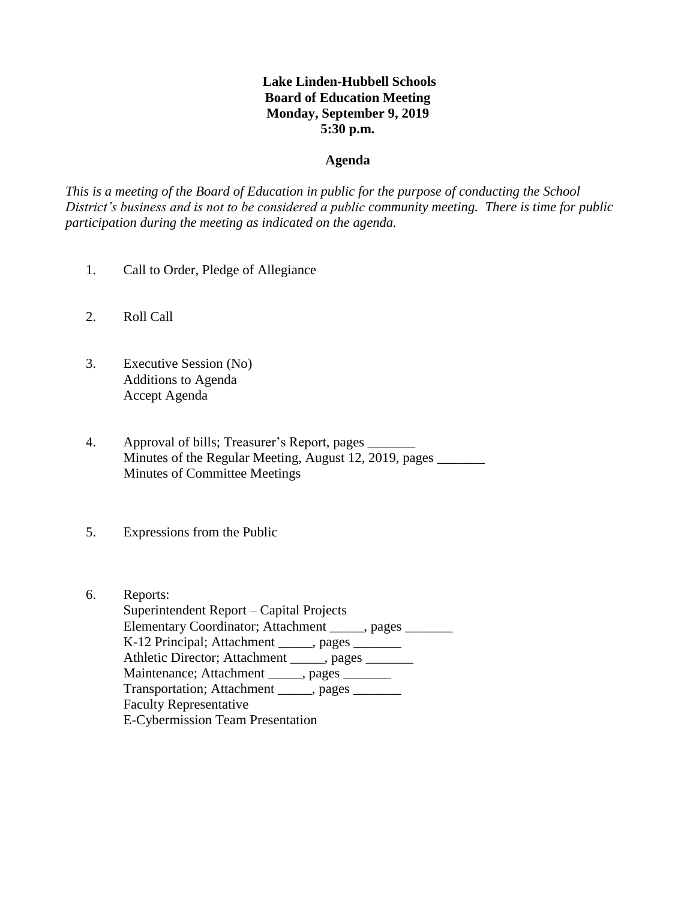## **Lake Linden-Hubbell Schools Board of Education Meeting Monday, September 9, 2019 5:30 p.m.**

#### **Agenda**

*This is a meeting of the Board of Education in public for the purpose of conducting the School District's business and is not to be considered a public community meeting. There is time for public participation during the meeting as indicated on the agenda.*

- 1. Call to Order, Pledge of Allegiance
- 2. Roll Call
- 3. Executive Session (No) Additions to Agenda Accept Agenda
- 4. Approval of bills; Treasurer's Report, pages \_\_\_\_\_\_\_ Minutes of the Regular Meeting, August 12, 2019, pages Minutes of Committee Meetings
- 5. Expressions from the Public
- 6. Reports: Superintendent Report – Capital Projects Elementary Coordinator; Attachment \_\_\_\_\_, pages \_\_\_\_\_\_ K-12 Principal; Attachment \_\_\_\_\_, pages \_\_\_\_\_\_\_ Athletic Director; Attachment \_\_\_\_\_, pages \_\_\_\_\_\_\_ Maintenance; Attachment \_\_\_\_\_, pages \_\_\_\_\_\_\_ Transportation; Attachment \_\_\_\_\_, pages \_\_\_\_\_\_\_ Faculty Representative E-Cybermission Team Presentation